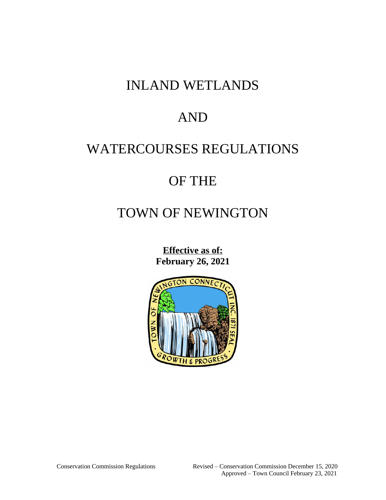## INLAND WETLANDS

## AND

## WATERCOURSES REGULATIONS

## OF THE

# TOWN OF NEWINGTON

**Effective as of: February 26, 2021**

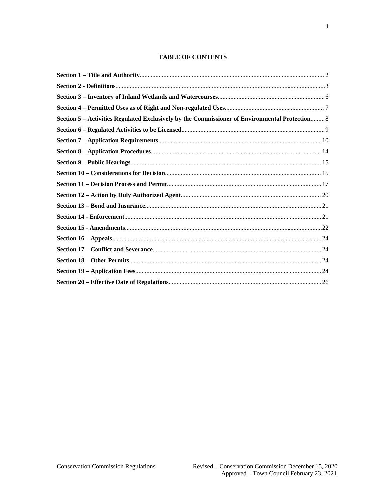## **TABLE OF CONTENTS**

| Section 5 – Activities Regulated Exclusively by the Commissioner of Environmental Protection 8 |  |
|------------------------------------------------------------------------------------------------|--|
|                                                                                                |  |
|                                                                                                |  |
|                                                                                                |  |
|                                                                                                |  |
|                                                                                                |  |
|                                                                                                |  |
|                                                                                                |  |
|                                                                                                |  |
|                                                                                                |  |
|                                                                                                |  |
|                                                                                                |  |
|                                                                                                |  |
|                                                                                                |  |
|                                                                                                |  |
|                                                                                                |  |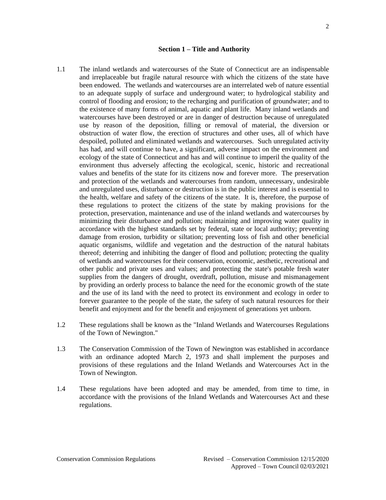#### <span id="page-2-0"></span>**Section 1 – Title and Authority**

- 1.1 The inland wetlands and watercourses of the State of Connecticut are an indispensable and irreplaceable but fragile natural resource with which the citizens of the state have been endowed. The wetlands and watercourses are an interrelated web of nature essential to an adequate supply of surface and underground water; to hydrological stability and control of flooding and erosion; to the recharging and purification of groundwater; and to the existence of many forms of animal, aquatic and plant life. Many inland wetlands and watercourses have been destroyed or are in danger of destruction because of unregulated use by reason of the deposition, filling or removal of material, the diversion or obstruction of water flow, the erection of structures and other uses, all of which have despoiled, polluted and eliminated wetlands and watercourses. Such unregulated activity has had, and will continue to have, a significant, adverse impact on the environment and ecology of the state of Connecticut and has and will continue to imperil the quality of the environment thus adversely affecting the ecological, scenic, historic and recreational values and benefits of the state for its citizens now and forever more. The preservation and protection of the wetlands and watercourses from random, unnecessary, undesirable and unregulated uses, disturbance or destruction is in the public interest and is essential to the health, welfare and safety of the citizens of the state. It is, therefore, the purpose of these regulations to protect the citizens of the state by making provisions for the protection, preservation, maintenance and use of the inland wetlands and watercourses by minimizing their disturbance and pollution; maintaining and improving water quality in accordance with the highest standards set by federal, state or local authority; preventing damage from erosion, turbidity or siltation; preventing loss of fish and other beneficial aquatic organisms, wildlife and vegetation and the destruction of the natural habitats thereof; deterring and inhibiting the danger of flood and pollution; protecting the quality of wetlands and watercourses for their conservation, economic, aesthetic, recreational and other public and private uses and values; and protecting the state's potable fresh water supplies from the dangers of drought, overdraft, pollution, misuse and mismanagement by providing an orderly process to balance the need for the economic growth of the state and the use of its land with the need to protect its environment and ecology in order to forever guarantee to the people of the state, the safety of such natural resources for their benefit and enjoyment and for the benefit and enjoyment of generations yet unborn.
- 1.2 These regulations shall be known as the "Inland Wetlands and Watercourses Regulations of the Town of Newington."
- 1.3 The Conservation Commission of the Town of Newington was established in accordance with an ordinance adopted March 2, 1973 and shall implement the purposes and provisions of these regulations and the Inland Wetlands and Watercourses Act in the Town of Newington.
- 1.4 These regulations have been adopted and may be amended, from time to time, in accordance with the provisions of the Inland Wetlands and Watercourses Act and these regulations.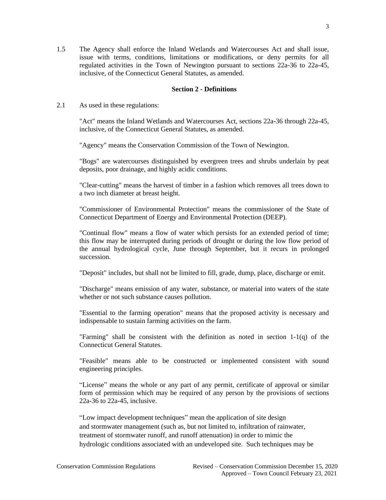1.5 The Agency shall enforce the Inland Wetlands and Watercourses Act and shall issue, issue with terms, conditions, limitations or modifications, or deny permits for all regulated activities in the Town of Newington pursuant to sections 22a-36 to 22a-45, inclusive, of the Connecticut General Statutes, as amended.

## <span id="page-3-0"></span>**Section 2 - Definitions**

2.1 As used in these regulations:

"Act" means the Inland Wetlands and Watercourses Act, sections 22a-36 through 22a-45, inclusive, of the Connecticut General Statutes, as amended.

"Agency" means the Conservation Commission of the Town of Newington.

"Bogs" are watercourses distinguished by evergreen trees and shrubs underlain by peat deposits, poor drainage, and highly acidic conditions.

"Clear-cutting" means the harvest of timber in a fashion which removes all trees down to a two inch diameter at breast height.

"Commissioner of Environmental Protection" means the commissioner of the State of Connecticut Department of Energy and Environmental Protection (DEEP).

"Continual flow" means a flow of water which persists for an extended period of time; this flow may be interrupted during periods of drought or during the low flow period of the annual hydrological cycle, June through September, but it recurs in prolonged succession.

"Deposit" includes, but shall not be limited to fill, grade, dump, place, discharge or emit.

"Discharge" means emission of any water, substance, or material into waters of the state whether or not such substance causes pollution.

"Essential to the farming operation" means that the proposed activity is necessary and indispensable to sustain farming activities on the farm.

"Farming" shall be consistent with the definition as noted in section 1-1(q) of the Connecticut General Statutes.

"Feasible" means able to be constructed or implemented consistent with sound engineering principles.

"License" means the whole or any part of any permit, certificate of approval or similar form of permission which may be required of any person by the provisions of sections 22a-36 to 22a-45, inclusive.

"Low impact development techniques" mean the application of site design and stormwater management (such as, but not limited to, infiltration of rainwater, treatment of stormwater runoff, and runoff attenuation) in order to mimic the hydrologic conditions associated with an undeveloped site. Such techniques may be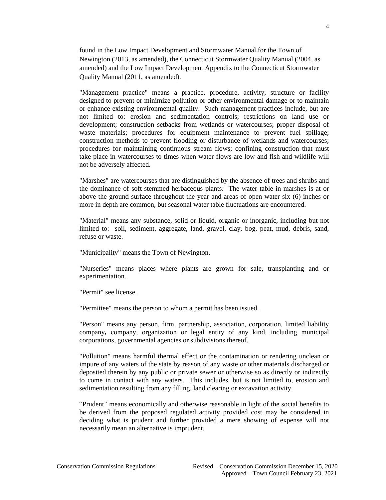found in the Low Impact Development and Stormwater Manual for the Town of Newington (2013, as amended), the Connecticut Stormwater Quality Manual (2004, as amended) and the Low Impact Development Appendix to the Connecticut Stormwater Quality Manual (2011, as amended).

"Management practice" means a practice, procedure, activity, structure or facility designed to prevent or minimize pollution or other environmental damage or to maintain or enhance existing environmental quality. Such management practices include, but are not limited to: erosion and sedimentation controls; restrictions on land use or development; construction setbacks from wetlands or watercourses; proper disposal of waste materials; procedures for equipment maintenance to prevent fuel spillage; construction methods to prevent flooding or disturbance of wetlands and watercourses; procedures for maintaining continuous stream flows; confining construction that must take place in watercourses to times when water flows are low and fish and wildlife will not be adversely affected.

 "Marshes" are watercourses that are distinguished by the absence of trees and shrubs and the dominance of soft-stemmed herbaceous plants. The water table in marshes is at or above the ground surface throughout the year and areas of open water six (6) inches or more in depth are common, but seasonal water table fluctuations are encountered.

"Material" means any substance, solid or liquid, organic or inorganic, including but not limited to: soil, sediment, aggregate, land, gravel, clay, bog, peat, mud, debris, sand, refuse or waste.

"Municipality" means the Town of Newington.

"Nurseries" means places where plants are grown for sale, transplanting and or experimentation.

"Permit" see license.

"Permittee" means the person to whom a permit has been issued.

"Person" means any person, firm, partnership, association, corporation, limited liability company**,** company, organization or legal entity of any kind, including municipal corporations, governmental agencies or subdivisions thereof.

"Pollution" means harmful thermal effect or the contamination or rendering unclean or impure of any waters of the state by reason of any waste or other materials discharged or deposited therein by any public or private sewer or otherwise so as directly or indirectly to come in contact with any waters. This includes, but is not limited to, erosion and sedimentation resulting from any filling, land clearing or excavation activity.

"Prudent" means economically and otherwise reasonable in light of the social benefits to be derived from the proposed regulated activity provided cost may be considered in deciding what is prudent and further provided a mere showing of expense will not necessarily mean an alternative is imprudent.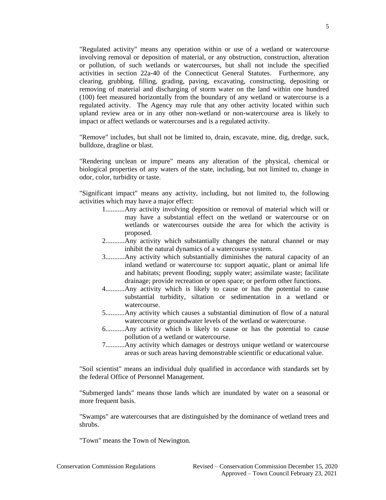"Regulated activity" means any operation within or use of a wetland or watercourse involving removal or deposition of material, or any obstruction, construction, alteration or pollution, of such wetlands or watercourses, but shall not include the specified activities in section 22a-40 of the Connecticut General Statutes. Furthermore, any clearing, grubbing, filling, grading, paving, excavating, constructing, depositing or removing of material and discharging of storm water on the land within one hundred (100) feet measured horizontally from the boundary of any wetland or watercourse is a regulated activity. The Agency may rule that any other activity located within such upland review area or in any other non-wetland or non-watercourse area is likely to impact or affect wetlands or watercourses and is a regulated activity.

"Remove" includes, but shall not be limited to, drain, excavate, mine, dig, dredge, suck, bulldoze, dragline or blast.

"Rendering unclean or impure" means any alteration of the physical, chemical or biological properties of any waters of the state, including, but not limited to, change in odor, color, turbidity or taste.

"Significant impact" means any activity, including, but not limited to, the following activities which may have a major effect:

- 1...........Any activity involving deposition or removal of material which will or may have a substantial effect on the wetland or watercourse or on wetlands or watercourses outside the area for which the activity is proposed.
- 2...........Any activity which substantially changes the natural channel or may inhibit the natural dynamics of a watercourse system.
- 3...........Any activity which substantially diminishes the natural capacity of an inland wetland or watercourse to: support aquatic, plant or animal life and habitats; prevent flooding; supply water; assimilate waste; facilitate drainage; provide recreation or open space; or perform other functions.
- 4...........Any activity which is likely to cause or has the potential to cause substantial turbidity, siltation or sedimentation in a wetland or watercourse.
- 5...........Any activity which causes a substantial diminution of flow of a natural watercourse or groundwater levels of the wetland or watercourse.
- 6...........Any activity which is likely to cause or has the potential to cause pollution of a wetland or watercourse.
- 7...........Any activity which damages or destroys unique wetland or watercourse areas or such areas having demonstrable scientific or educational value.

"Soil scientist" means an individual duly qualified in accordance with standards set by the federal Office of Personnel Management.

"Submerged lands" means those lands which are inundated by water on a seasonal or more frequent basis.

"Swamps" are watercourses that are distinguished by the dominance of wetland trees and shrubs.

"Town" means the Town of Newington.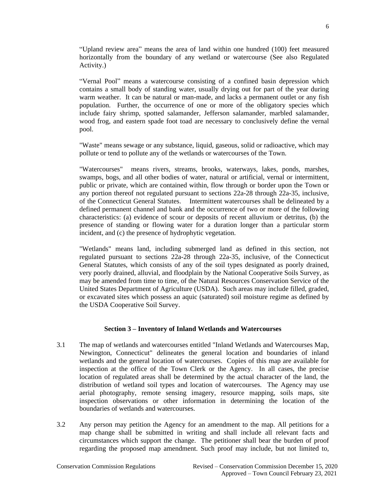"Upland review area" means the area of land within one hundred (100) feet measured horizontally from the boundary of any wetland or watercourse (See also Regulated Activity.)

"Vernal Pool" means a watercourse consisting of a confined basin depression which contains a small body of standing water, usually drying out for part of the year during warm weather. It can be natural or man-made, and lacks a permanent outlet or any fish population. Further, the occurrence of one or more of the obligatory species which include fairy shrimp, spotted salamander, Jefferson salamander, marbled salamander, wood frog, and eastern spade foot toad are necessary to conclusively define the vernal pool.

"Waste" means sewage or any substance, liquid, gaseous, solid or radioactive, which may pollute or tend to pollute any of the wetlands or watercourses of the Town.

"Watercourses" means rivers, streams, brooks, waterways, lakes, ponds, marshes, swamps, bogs, and all other bodies of water, natural or artificial, vernal or intermittent, public or private, which are contained within, flow through or border upon the Town or any portion thereof not regulated pursuant to sections 22a-28 through 22a-35, inclusive, of the Connecticut General Statutes. Intermittent watercourses shall be delineated by a defined permanent channel and bank and the occurrence of two or more of the following characteristics: (a) evidence of scour or deposits of recent alluvium or detritus, (b) the presence of standing or flowing water for a duration longer than a particular storm incident, and (c) the presence of hydrophytic vegetation.

"Wetlands" means land, including submerged land as defined in this section, not regulated pursuant to sections 22a-28 through 22a-35, inclusive, of the Connecticut General Statutes, which consists of any of the soil types designated as poorly drained, very poorly drained, alluvial, and floodplain by the National Cooperative Soils Survey, as may be amended from time to time, of the Natural Resources Conservation Service of the United States Department of Agriculture (USDA). Such areas may include filled, graded, or excavated sites which possess an aquic (saturated) soil moisture regime as defined by the USDA Cooperative Soil Survey.

#### <span id="page-6-0"></span>**Section 3 – Inventory of Inland Wetlands and Watercourses**

- 3.1 The map of wetlands and watercourses entitled "Inland Wetlands and Watercourses Map, Newington, Connecticut" delineates the general location and boundaries of inland wetlands and the general location of watercourses. Copies of this map are available for inspection at the office of the Town Clerk or the Agency. In all cases, the precise location of regulated areas shall be determined by the actual character of the land, the distribution of wetland soil types and location of watercourses. The Agency may use aerial photography, remote sensing imagery, resource mapping, soils maps, site inspection observations or other information in determining the location of the boundaries of wetlands and watercourses.
- 3.2 Any person may petition the Agency for an amendment to the map. All petitions for a map change shall be submitted in writing and shall include all relevant facts and circumstances which support the change. The petitioner shall bear the burden of proof regarding the proposed map amendment. Such proof may include, but not limited to,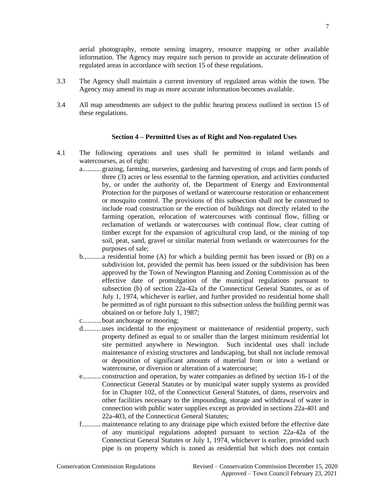aerial photography, remote sensing imagery, resource mapping or other available information. The Agency may require such person to provide an accurate delineation of regulated areas in accordance with section 15 of these regulations.

- 3.3 The Agency shall maintain a current inventory of regulated areas within the town. The Agency may amend its map as more accurate information becomes available.
- 3.4 All map amendments are subject to the public hearing process outlined in section 15 of these regulations.

#### **Section 4 – Permitted Uses as of Right and Non-regulated Uses**

- 4.1 The following operations and uses shall be permitted in inland wetlands and watercourses, as of right:
	- a...........grazing, farming, nurseries, gardening and harvesting of crops and farm ponds of three (3) acres or less essential to the farming operation, and activities conducted by, or under the authority of, the Department of Energy and Environmental Protection for the purposes of wetland or watercourse restoration or enhancement or mosquito control. The provisions of this subsection shall not be construed to include road construction or the erection of buildings not directly related to the farming operation, relocation of watercourses with continual flow, filling or reclamation of wetlands or watercourses with continual flow, clear cutting of timber except for the expansion of agricultural crop land, or the mining of top soil, peat, sand, gravel or similar material from wetlands or watercourses for the purposes of sale;
	- b...........a residential home (A) for which a building permit has been issued or (B) on a subdivision lot, provided the permit has been issued or the subdivision has been approved by the Town of Newington Planning and Zoning Commission as of the effective date of promulgation of the municipal regulations pursuant to subsection (b) of section 22a-42a of the Connecticut General Statutes, or as of July 1, 1974, whichever is earlier, and further provided no residential home shall be permitted as of right pursuant to this subsection unless the building permit was obtained on or before July 1, 1987;
	- c...........boat anchorage or mooring;
	- d...........uses incidental to the enjoyment or maintenance of residential property, such property defined as equal to or smaller than the largest minimum residential lot site permitted anywhere in Newington. Such incidental uses shall include maintenance of existing structures and landscaping, but shall not include removal or deposition of significant amounts of material from or into a wetland or watercourse, or diversion or alteration of a watercourse;
	- e...........construction and operation, by water companies as defined by section 16-1 of the Connecticut General Statutes or by municipal water supply systems as provided for in Chapter 102, of the Connecticut General Statutes, of dams, reservoirs and other facilities necessary to the impounding, storage and withdrawal of water in connection with public water supplies except as provided in sections 22a-401 and 22a-403, of the Connecticut General Statutes;
	- f........... maintenance relating to any drainage pipe which existed before the effective date of any municipal regulations adopted pursuant to section 22a-42a of the Connecticut General Statutes or July 1, 1974, whichever is earlier, provided such pipe is on property which is zoned as residential but which does not contain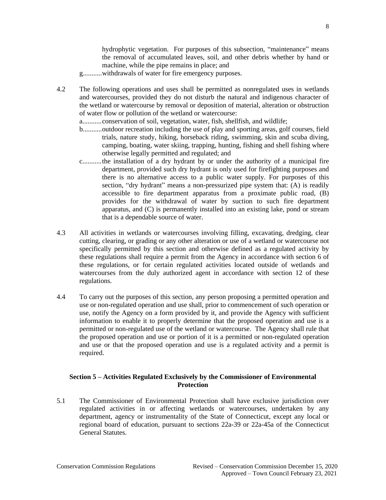hydrophytic vegetation. For purposes of this subsection, "maintenance" means the removal of accumulated leaves, soil, and other debris whether by hand or machine, while the pipe remains in place; and

g...........withdrawals of water for fire emergency purposes.

4.2 The following operations and uses shall be permitted as nonregulated uses in wetlands and watercourses, provided they do not disturb the natural and indigenous character of the wetland or watercourse by removal or deposition of material, alteration or obstruction of water flow or pollution of the wetland or watercourse:

a...........conservation of soil, vegetation, water, fish, shellfish, and wildlife;

- b...........outdoor recreation including the use of play and sporting areas, golf courses, field trials, nature study, hiking, horseback riding, swimming, skin and scuba diving, camping, boating, water skiing, trapping, hunting, fishing and shell fishing where otherwise legally permitted and regulated; and
- c...........the installation of a dry hydrant by or under the authority of a municipal fire department, provided such dry hydrant is only used for firefighting purposes and there is no alternative access to a public water supply. For purposes of this section, "dry hydrant" means a non-pressurized pipe system that: (A) is readily accessible to fire department apparatus from a proximate public road, (B) provides for the withdrawal of water by suction to such fire department apparatus, and (C) is permanently installed into an existing lake, pond or stream that is a dependable source of water.
- 4.3 All activities in wetlands or watercourses involving filling, excavating, dredging, clear cutting, clearing, or grading or any other alteration or use of a wetland or watercourse not specifically permitted by this section and otherwise defined as a regulated activity by these regulations shall require a permit from the Agency in accordance with section 6 of these regulations, or for certain regulated activities located outside of wetlands and watercourses from the duly authorized agent in accordance with section 12 of these regulations.
- 4.4 To carry out the purposes of this section, any person proposing a permitted operation and use or non-regulated operation and use shall, prior to commencement of such operation or use, notify the Agency on a form provided by it, and provide the Agency with sufficient information to enable it to properly determine that the proposed operation and use is a permitted or non-regulated use of the wetland or watercourse. The Agency shall rule that the proposed operation and use or portion of it is a permitted or non-regulated operation and use or that the proposed operation and use is a regulated activity and a permit is required.

## <span id="page-8-0"></span>**Section 5 – Activities Regulated Exclusively by the Commissioner of Environmental Protection**

5.1 The Commissioner of Environmental Protection shall have exclusive jurisdiction over regulated activities in or affecting wetlands or watercourses, undertaken by any department, agency or instrumentality of the State of Connecticut, except any local or regional board of education, pursuant to sections 22a-39 or 22a-45a of the Connecticut General Statutes.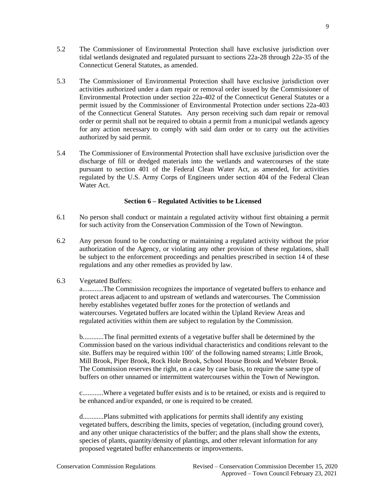- 5.2 The Commissioner of Environmental Protection shall have exclusive jurisdiction over tidal wetlands designated and regulated pursuant to sections 22a-28 through 22a-35 of the Connecticut General Statutes, as amended.
- 5.3 The Commissioner of Environmental Protection shall have exclusive jurisdiction over activities authorized under a dam repair or removal order issued by the Commissioner of Environmental Protection under section 22a-402 of the Connecticut General Statutes or a permit issued by the Commissioner of Environmental Protection under sections 22a-403 of the Connecticut General Statutes. Any person receiving such dam repair or removal order or permit shall not be required to obtain a permit from a municipal wetlands agency for any action necessary to comply with said dam order or to carry out the activities authorized by said permit.
- 5.4 The Commissioner of Environmental Protection shall have exclusive jurisdiction over the discharge of fill or dredged materials into the wetlands and watercourses of the state pursuant to section 401 of the Federal Clean Water Act, as amended, for activities regulated by the U.S. Army Corps of Engineers under section 404 of the Federal Clean Water Act.

## <span id="page-9-0"></span>**Section 6 – Regulated Activities to be Licensed**

- 6.1 No person shall conduct or maintain a regulated activity without first obtaining a permit for such activity from the Conservation Commission of the Town of Newington.
- 6.2 Any person found to be conducting or maintaining a regulated activity without the prior authorization of the Agency, or violating any other provision of these regulations, shall be subject to the enforcement proceedings and penalties prescribed in section 14 of these regulations and any other remedies as provided by law.
- 6.3 Vegetated Buffers:

a............The Commission recognizes the importance of vegetated buffers to enhance and protect areas adjacent to and upstream of wetlands and watercourses. The Commission hereby establishes vegetated buffer zones for the protection of wetlands and watercourses. Vegetated buffers are located within the Upland Review Areas and regulated activities within them are subject to regulation by the Commission.

b............The final permitted extents of a vegetative buffer shall be determined by the Commission based on the various individual characteristics and conditions relevant to the site. Buffers may be required within 100' of the following named streams; Little Brook, Mill Brook, Piper Brook, Rock Hole Brook, School House Brook and Webster Brook. The Commission reserves the right, on a case by case basis, to require the same type of buffers on other unnamed or intermittent watercourses within the Town of Newington.

c............Where a vegetated buffer exists and is to be retained, or exists and is required to be enhanced and/or expanded, or one is required to be created.

d............Plans submitted with applications for permits shall identify any existing vegetated buffers, describing the limits, species of vegetation, (including ground cover), and any other unique characteristics of the buffer; and the plans shall show the extents, species of plants, quantity/density of plantings, and other relevant information for any proposed vegetated buffer enhancements or improvements.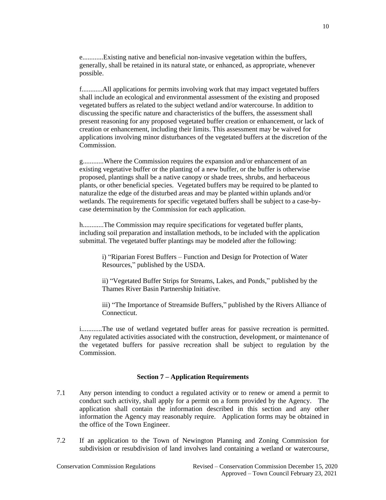e............Existing native and beneficial non-invasive vegetation within the buffers, generally, shall be retained in its natural state, or enhanced, as appropriate, whenever possible.

f............All applications for permits involving work that may impact vegetated buffers shall include an ecological and environmental assessment of the existing and proposed vegetated buffers as related to the subject wetland and/or watercourse. In addition to discussing the specific nature and characteristics of the buffers, the assessment shall present reasoning for any proposed vegetated buffer creation or enhancement, or lack of creation or enhancement, including their limits. This assessment may be waived for applications involving minor disturbances of the vegetated buffers at the discretion of the Commission.

g............Where the Commission requires the expansion and/or enhancement of an existing vegetative buffer or the planting of a new buffer, or the buffer is otherwise proposed, plantings shall be a native canopy or shade trees, shrubs, and herbaceous plants, or other beneficial species. Vegetated buffers may be required to be planted to naturalize the edge of the disturbed areas and may be planted within uplands and/or wetlands. The requirements for specific vegetated buffers shall be subject to a case-bycase determination by the Commission for each application.

h............The Commission may require specifications for vegetated buffer plants, including soil preparation and installation methods, to be included with the application submittal. The vegetated buffer plantings may be modeled after the following:

i) "Riparian Forest Buffers – Function and Design for Protection of Water Resources," published by the USDA.

ii) "Vegetated Buffer Strips for Streams, Lakes, and Ponds," published by the Thames River Basin Partnership Initiative.

iii) "The Importance of Streamside Buffers," published by the Rivers Alliance of Connecticut.

i............The use of wetland vegetated buffer areas for passive recreation is permitted. Any regulated activities associated with the construction, development, or maintenance of the vegetated buffers for passive recreation shall be subject to regulation by the Commission.

#### <span id="page-10-0"></span>**Section 7 – Application Requirements**

- 7.1 Any person intending to conduct a regulated activity or to renew or amend a permit to conduct such activity, shall apply for a permit on a form provided by the Agency. The application shall contain the information described in this section and any other information the Agency may reasonably require. Application forms may be obtained in the office of the Town Engineer.
- 7.2 If an application to the Town of Newington Planning and Zoning Commission for subdivision or resubdivision of land involves land containing a wetland or watercourse,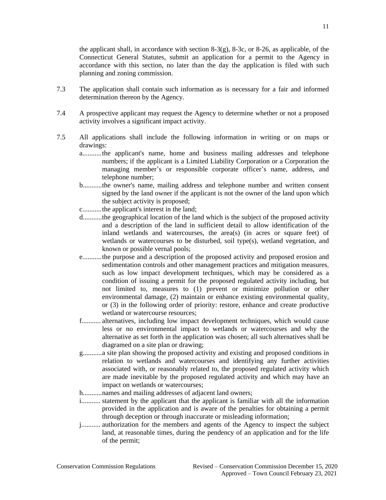the applicant shall, in accordance with section  $8-3(g)$ ,  $8-3c$ , or  $8-26$ , as applicable, of the Connecticut General Statutes, submit an application for a permit to the Agency in accordance with this section, no later than the day the application is filed with such planning and zoning commission.

- 7.3 The application shall contain such information as is necessary for a fair and informed determination thereon by the Agency.
- 7.4 A prospective applicant may request the Agency to determine whether or not a proposed activity involves a significant impact activity.
- 7.5 All applications shall include the following information in writing or on maps or drawings:
	- a...........the applicant's name, home and business mailing addresses and telephone numbers; if the applicant is a Limited Liability Corporation or a Corporation the managing member's or responsible corporate officer's name, address, and telephone number;
	- b...........the owner's name, mailing address and telephone number and written consent signed by the land owner if the applicant is not the owner of the land upon which the subject activity is proposed;
	- c...........the applicant's interest in the land;
	- d...........the geographical location of the land which is the subject of the proposed activity and a description of the land in sufficient detail to allow identification of the inland wetlands and watercourses, the area(s) (in acres or square feet) of wetlands or watercourses to be disturbed, soil type(s), wetland vegetation, and known or possible vernal pools;
	- e...........the purpose and a description of the proposed activity and proposed erosion and sedimentation controls and other management practices and mitigation measures, such as low impact development techniques, which may be considered as a condition of issuing a permit for the proposed regulated activity including, but not limited to, measures to (1) prevent or minimize pollution or other environmental damage, (2) maintain or enhance existing environmental quality, or (3) in the following order of priority: restore, enhance and create productive wetland or watercourse resources;
	- f........... alternatives*,* including low impact development techniques, which would cause less or no environmental impact to wetlands or watercourses and why the alternative as set forth in the application was chosen; all such alternatives shall be diagramed on a site plan or drawing;
	- g...........a site plan showing the proposed activity and existing and proposed conditions in relation to wetlands and watercourses and identifying any further activities associated with, or reasonably related to, the proposed regulated activity which are made inevitable by the proposed regulated activity and which may have an impact on wetlands or watercourses;
	- h...........names and mailing addresses of adjacent land owners;
	- i........... statement by the applicant that the applicant is familiar with all the information provided in the application and is aware of the penalties for obtaining a permit through deception or through inaccurate or misleading information;
	- j........... authorization for the members and agents of the Agency to inspect the subject land, at reasonable times, during the pendency of an application and for the life of the permit;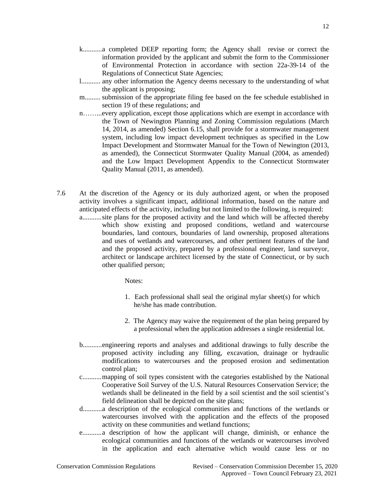- k...........a completed DEEP reporting form; the Agency shall revise or correct the information provided by the applicant and submit the form to the Commissioner of Environmental Protection in accordance with section 22a-39-14 of the Regulations of Connecticut State Agencies;
- l........... any other information the Agency deems necessary to the understanding of what the applicant is proposing;
- m......... submission of the appropriate filing fee based on the fee schedule established in section 19 of these regulations; and
- n……...every application, except those applications which are exempt in accordance with the Town of Newington Planning and Zoning Commission regulations (March 14, 2014, as amended) Section 6.15, shall provide for a stormwater management system, including low impact development techniques as specified in the Low Impact Development and Stormwater Manual for the Town of Newington (2013, as amended), the Connecticut Stormwater Quality Manual (2004, as amended) and the Low Impact Development Appendix to the Connecticut Stormwater Quality Manual (2011, as amended).
- 7.6 At the discretion of the Agency or its duly authorized agent, or when the proposed activity involves a significant impact, additional information, based on the nature and anticipated effects of the activity, including but not limited to the following, is required: a...........site plans for the proposed activity and the land which will be affected thereby which show existing and proposed conditions, wetland and watercourse boundaries, land contours, boundaries of land ownership, proposed alterations and uses of wetlands and watercourses, and other pertinent features of the land and the proposed activity, prepared by a professional engineer, land surveyor,

architect or landscape architect licensed by the state of Connecticut, or by such other qualified person;

Notes:

- 1. Each professional shall seal the original mylar sheet(s) for which he/she has made contribution.
- 2. The Agency may waive the requirement of the plan being prepared by a professional when the application addresses a single residential lot.
- b...........engineering reports and analyses and additional drawings to fully describe the proposed activity including any filling, excavation, drainage or hydraulic modifications to watercourses and the proposed erosion and sedimentation control plan;
- c...........mapping of soil types consistent with the categories established by the National Cooperative Soil Survey of the U.S. Natural Resources Conservation Service; the wetlands shall be delineated in the field by a soil scientist and the soil scientist's field delineation shall be depicted on the site plans;
- d...........a description of the ecological communities and functions of the wetlands or watercourses involved with the application and the effects of the proposed activity on these communities and wetland functions;
- e...........a description of how the applicant will change, diminish, or enhance the ecological communities and functions of the wetlands or watercourses involved in the application and each alternative which would cause less or no

12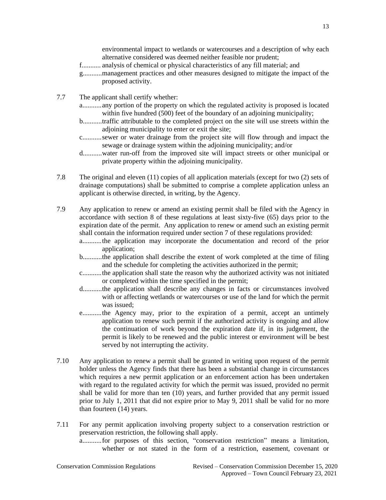environmental impact to wetlands or watercourses and a description of why each alternative considered was deemed neither feasible nor prudent;

- f........... analysis of chemical or physical characteristics of any fill material; and
- g...........management practices and other measures designed to mitigate the impact of the proposed activity.
- 7.7 The applicant shall certify whether:
	- a...........any portion of the property on which the regulated activity is proposed is located within five hundred (500) feet of the boundary of an adjoining municipality;
	- b...........traffic attributable to the completed project on the site will use streets within the adjoining municipality to enter or exit the site;
	- c...........sewer or water drainage from the project site will flow through and impact the sewage or drainage system within the adjoining municipality; and/or
	- d...........water run-off from the improved site will impact streets or other municipal or private property within the adjoining municipality.
- 7.8 The original and eleven (11) copies of all application materials (except for two (2) sets of drainage computations) shall be submitted to comprise a complete application unless an applicant is otherwise directed, in writing, by the Agency.
- 7.9 Any application to renew or amend an existing permit shall be filed with the Agency in accordance with section 8 of these regulations at least sixty-five (65) days prior to the expiration date of the permit. Any application to renew or amend such an existing permit shall contain the information required under section 7 of these regulations provided:
	- a...........the application may incorporate the documentation and record of the prior application;
	- b...........the application shall describe the extent of work completed at the time of filing and the schedule for completing the activities authorized in the permit;
	- c...........the application shall state the reason why the authorized activity was not initiated or completed within the time specified in the permit;
	- d...........the application shall describe any changes in facts or circumstances involved with or affecting wetlands or watercourses or use of the land for which the permit was issued;
	- e...........the Agency may, prior to the expiration of a permit, accept an untimely application to renew such permit if the authorized activity is ongoing and allow the continuation of work beyond the expiration date if, in its judgement, the permit is likely to be renewed and the public interest or environment will be best served by not interrupting the activity.
- 7.10 Any application to renew a permit shall be granted in writing upon request of the permit holder unless the Agency finds that there has been a substantial change in circumstances which requires a new permit application or an enforcement action has been undertaken with regard to the regulated activity for which the permit was issued, provided no permit shall be valid for more than ten (10) years, and further provided that any permit issued prior to July 1, 2011 that did not expire prior to May 9, 2011 shall be valid for no more than fourteen (14) years.
- 7.11 For any permit application involving property subject to a conservation restriction or preservation restriction, the following shall apply.

a...........for purposes of this section, "conservation restriction" means a limitation, whether or not stated in the form of a restriction, easement, covenant or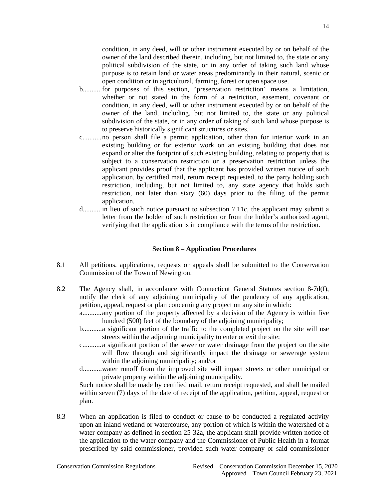condition, in any deed, will or other instrument executed by or on behalf of the owner of the land described therein, including, but not limited to, the state or any political subdivision of the state, or in any order of taking such land whose purpose is to retain land or water areas predominantly in their natural, scenic or open condition or in agricultural, farming, forest or open space use.

- b...........for purposes of this section, "preservation restriction" means a limitation, whether or not stated in the form of a restriction, easement, covenant or condition, in any deed, will or other instrument executed by or on behalf of the owner of the land, including, but not limited to, the state or any political subdivision of the state, or in any order of taking of such land whose purpose is to preserve historically significant structures or sites.
- c...........no person shall file a permit application, other than for interior work in an existing building or for exterior work on an existing building that does not expand or alter the footprint of such existing building, relating to property that is subject to a conservation restriction or a preservation restriction unless the applicant provides proof that the applicant has provided written notice of such application, by certified mail, return receipt requested, to the party holding such restriction, including, but not limited to, any state agency that holds such restriction, not later than sixty (60) days prior to the filing of the permit application.
- d...........in lieu of such notice pursuant to subsection 7.11c, the applicant may submit a letter from the holder of such restriction or from the holder's authorized agent, verifying that the application is in compliance with the terms of the restriction.

#### <span id="page-14-0"></span>**Section 8 – Application Procedures**

- 8.1 All petitions, applications, requests or appeals shall be submitted to the Conservation Commission of the Town of Newington.
- 8.2 The Agency shall, in accordance with Connecticut General Statutes section 8-7d(f), notify the clerk of any adjoining municipality of the pendency of any application, petition, appeal, request or plan concerning any project on any site in which:
	- a...........any portion of the property affected by a decision of the Agency is within five hundred (500) feet of the boundary of the adjoining municipality;
	- b...........a significant portion of the traffic to the completed project on the site will use streets within the adjoining municipality to enter or exit the site;
	- c...........a significant portion of the sewer or water drainage from the project on the site will flow through and significantly impact the drainage or sewerage system within the adjoining municipality; and/or
	- d...........water runoff from the improved site will impact streets or other municipal or private property within the adjoining municipality.

 Such notice shall be made by certified mail, return receipt requested, and shall be mailed within seven (7) days of the date of receipt of the application, petition, appeal, request or plan.

8.3 When an application is filed to conduct or cause to be conducted a regulated activity upon an inland wetland or watercourse, any portion of which is within the watershed of a water company as defined in section 25-32a, the applicant shall provide written notice of the application to the water company and the Commissioner of Public Health in a format prescribed by said commissioner, provided such water company or said commissioner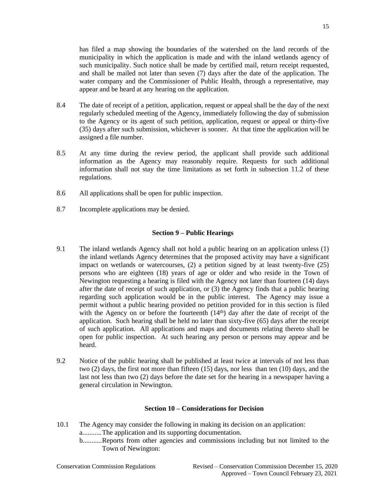has filed a map showing the boundaries of the watershed on the land records of the municipality in which the application is made and with the inland wetlands agency of such municipality. Such notice shall be made by certified mail, return receipt requested, and shall be mailed not later than seven (7) days after the date of the application. The water company and the Commissioner of Public Health, through a representative, may appear and be heard at any hearing on the application.

- 8.4 The date of receipt of a petition, application, request or appeal shall be the day of the next regularly scheduled meeting of the Agency, immediately following the day of submission to the Agency or its agent of such petition, application, request or appeal or thirty-five (35) days after such submission, whichever is sooner. At that time the application will be assigned a file number.
- 8.5 At any time during the review period, the applicant shall provide such additional information as the Agency may reasonably require. Requests for such additional information shall not stay the time limitations as set forth in subsection 11.2 of these regulations.
- 8.6 All applications shall be open for public inspection.
- 8.7 Incomplete applications may be denied.

#### <span id="page-15-0"></span>**Section 9 – Public Hearings**

- 9.1 The inland wetlands Agency shall not hold a public hearing on an application unless (1) the inland wetlands Agency determines that the proposed activity may have a significant impact on wetlands or watercourses, (2) a petition signed by at least twenty-five (25) persons who are eighteen (18) years of age or older and who reside in the Town of Newington requesting a hearing is filed with the Agency not later than fourteen (14) days after the date of receipt of such application, or (3) the Agency finds that a public hearing regarding such application would be in the public interest. The Agency may issue a permit without a public hearing provided no petition provided for in this section is filed with the Agency on or before the fourteenth  $(14<sup>th</sup>)$  day after the date of receipt of the application. Such hearing shall be held no later than sixty-five (65) days after the receipt of such application. All applications and maps and documents relating thereto shall be open for public inspection. At such hearing any person or persons may appear and be heard.
- 9.2 Notice of the public hearing shall be published at least twice at intervals of not less than two (2) days, the first not more than fifteen (15) days, nor less than ten (10) days, and the last not less than two (2) days before the date set for the hearing in a newspaper having a general circulation in Newington.

#### <span id="page-15-1"></span>**Section 10 – Considerations for Decision**

- 10.1 The Agency may consider the following in making its decision on an application: a...........The application and its supporting documentation.
	- b...........Reports from other agencies and commissions including but not limited to the Town of Newington: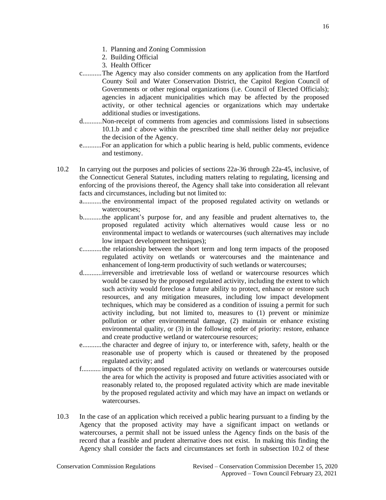- 1. Planning and Zoning Commission
- 2. Building Official
- 3. Health Officer
- c...........The Agency may also consider comments on any application from the Hartford County Soil and Water Conservation District, the Capitol Region Council of Governments or other regional organizations (i.e. Council of Elected Officials); agencies in adjacent municipalities which may be affected by the proposed activity, or other technical agencies or organizations which may undertake additional studies or investigations.
- d...........Non-receipt of comments from agencies and commissions listed in subsections 10.1.b and c above within the prescribed time shall neither delay nor prejudice the decision of the Agency.
- e...........For an application for which a public hearing is held, public comments, evidence and testimony.
- 10.2 In carrying out the purposes and policies of sections 22a-36 through 22a-45, inclusive, of the Connecticut General Statutes, including matters relating to regulating, licensing and enforcing of the provisions thereof, the Agency shall take into consideration all relevant facts and circumstances, including but not limited to:
	- a...........the environmental impact of the proposed regulated activity on wetlands or watercourses;
	- b...........the applicant's purpose for, and any feasible and prudent alternatives to, the proposed regulated activity which alternatives would cause less or no environmental impact to wetlands or watercourses (such alternatives may include low impact development techniques);
	- c...........the relationship between the short term and long term impacts of the proposed regulated activity on wetlands or watercourses and the maintenance and enhancement of long-term productivity of such wetlands or watercourses;
	- d...........irreversible and irretrievable loss of wetland or watercourse resources which would be caused by the proposed regulated activity, including the extent to which such activity would foreclose a future ability to protect, enhance or restore such resources, and any mitigation measures, including low impact development techniques, which may be considered as a condition of issuing a permit for such activity including, but not limited to, measures to (1) prevent or minimize pollution or other environmental damage, (2) maintain or enhance existing environmental quality, or (3) in the following order of priority: restore, enhance and create productive wetland or watercourse resources;
	- e...........the character and degree of injury to, or interference with, safety, health or the reasonable use of property which is caused or threatened by the proposed regulated activity; and
	- f........... impacts of the proposed regulated activity on wetlands or watercourses outside the area for which the activity is proposed and future activities associated with or reasonably related to, the proposed regulated activity which are made inevitable by the proposed regulated activity and which may have an impact on wetlands or watercourses.
- 10.3 In the case of an application which received a public hearing pursuant to a finding by the Agency that the proposed activity may have a significant impact on wetlands or watercourses, a permit shall not be issued unless the Agency finds on the basis of the record that a feasible and prudent alternative does not exist. In making this finding the Agency shall consider the facts and circumstances set forth in subsection 10.2 of these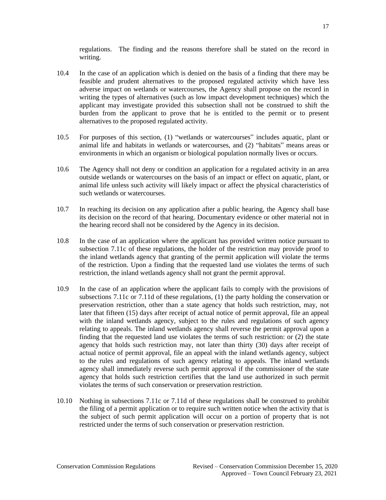regulations. The finding and the reasons therefore shall be stated on the record in writing.

- 10.4 In the case of an application which is denied on the basis of a finding that there may be feasible and prudent alternatives to the proposed regulated activity which have less adverse impact on wetlands or watercourses, the Agency shall propose on the record in writing the types of alternatives (such as low impact development techniques) which the applicant may investigate provided this subsection shall not be construed to shift the burden from the applicant to prove that he is entitled to the permit or to present alternatives to the proposed regulated activity.
- 10.5 For purposes of this section, (1) "wetlands or watercourses" includes aquatic, plant or animal life and habitats in wetlands or watercourses, and (2) "habitats" means areas or environments in which an organism or biological population normally lives or occurs.
- 10.6 The Agency shall not deny or condition an application for a regulated activity in an area outside wetlands or watercourses on the basis of an impact or effect on aquatic, plant, or animal life unless such activity will likely impact or affect the physical characteristics of such wetlands or watercourses.
- 10.7 In reaching its decision on any application after a public hearing, the Agency shall base its decision on the record of that hearing. Documentary evidence or other material not in the hearing record shall not be considered by the Agency in its decision.
- 10.8 In the case of an application where the applicant has provided written notice pursuant to subsection 7.11c of these regulations, the holder of the restriction may provide proof to the inland wetlands agency that granting of the permit application will violate the terms of the restriction. Upon a finding that the requested land use violates the terms of such restriction, the inland wetlands agency shall not grant the permit approval.
- 10.9 In the case of an application where the applicant fails to comply with the provisions of subsections 7.11c or 7.11d of these regulations, (1) the party holding the conservation or preservation restriction, other than a state agency that holds such restriction, may, not later that fifteen (15) days after receipt of actual notice of permit approval, file an appeal with the inland wetlands agency, subject to the rules and regulations of such agency relating to appeals. The inland wetlands agency shall reverse the permit approval upon a finding that the requested land use violates the terms of such restriction: or (2) the state agency that holds such restriction may, not later than thirty (30) days after receipt of actual notice of permit approval, file an appeal with the inland wetlands agency, subject to the rules and regulations of such agency relating to appeals. The inland wetlands agency shall immediately reverse such permit approval if the commissioner of the state agency that holds such restriction certifies that the land use authorized in such permit violates the terms of such conservation or preservation restriction.
- 10.10 Nothing in subsections 7.11c or 7.11d of these regulations shall be construed to prohibit the filing of a permit application or to require such written notice when the activity that is the subject of such permit application will occur on a portion of property that is not restricted under the terms of such conservation or preservation restriction.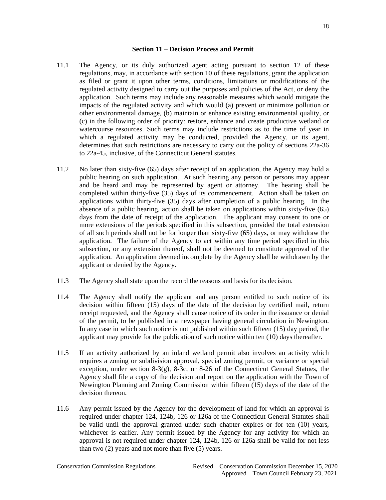#### **Section 11 – Decision Process and Permit**

- 11.1 The Agency, or its duly authorized agent acting pursuant to section 12 of these regulations, may, in accordance with section 10 of these regulations, grant the application as filed or grant it upon other terms, conditions, limitations or modifications of the regulated activity designed to carry out the purposes and policies of the Act, or deny the application. Such terms may include any reasonable measures which would mitigate the impacts of the regulated activity and which would (a) prevent or minimize pollution or other environmental damage, (b) maintain or enhance existing environmental quality, or (c) in the following order of priority: restore, enhance and create productive wetland or watercourse resources. Such terms may include restrictions as to the time of year in which a regulated activity may be conducted, provided the Agency, or its agent, determines that such restrictions are necessary to carry out the policy of sections 22a-36 to 22a-45, inclusive, of the Connecticut General statutes.
- 11.2 No later than sixty-five (65) days after receipt of an application, the Agency may hold a public hearing on such application. At such hearing any person or persons may appear and be heard and may be represented by agent or attorney. The hearing shall be completed within thirty-five (35) days of its commencement. Action shall be taken on applications within thirty-five (35) days after completion of a public hearing. In the absence of a public hearing, action shall be taken on applications within sixty-five (65) days from the date of receipt of the application. The applicant may consent to one or more extensions of the periods specified in this subsection, provided the total extension of all such periods shall not be for longer than sixty-five (65) days, or may withdraw the application. The failure of the Agency to act within any time period specified in this subsection, or any extension thereof, shall not be deemed to constitute approval of the application. An application deemed incomplete by the Agency shall be withdrawn by the applicant or denied by the Agency.
- 11.3 The Agency shall state upon the record the reasons and basis for its decision.
- 11.4 The Agency shall notify the applicant and any person entitled to such notice of its decision within fifteen (15) days of the date of the decision by certified mail, return receipt requested, and the Agency shall cause notice of its order in the issuance or denial of the permit, to be published in a newspaper having general circulation in Newington. In any case in which such notice is not published within such fifteen (15) day period, the applicant may provide for the publication of such notice within ten (10) days thereafter.
- 11.5 If an activity authorized by an inland wetland permit also involves an activity which requires a zoning or subdivision approval, special zoning permit, or variance or special exception, under section 8-3(g), 8-3c, or 8-26 of the Connecticut General Statues, the Agency shall file a copy of the decision and report on the application with the Town of Newington Planning and Zoning Commission within fifteen (15) days of the date of the decision thereon.
- 11.6 Any permit issued by the Agency for the development of land for which an approval is required under chapter 124, 124b, 126 or 126a of the Connecticut General Statutes shall be valid until the approval granted under such chapter expires or for ten (10) years, whichever is earlier. Any permit issued by the Agency for any activity for which an approval is not required under chapter 124, 124b, 126 or 126a shall be valid for not less than two (2) years and not more than five (5) years.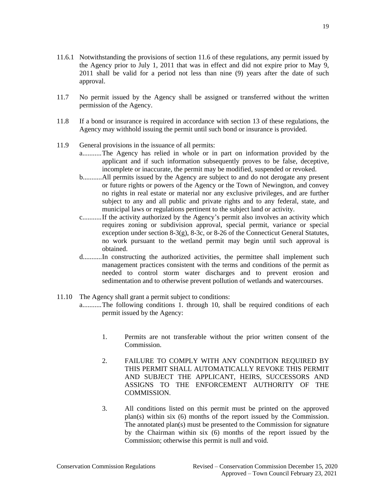- 11.7 No permit issued by the Agency shall be assigned or transferred without the written permission of the Agency.
- 11.8 If a bond or insurance is required in accordance with section 13 of these regulations, the Agency may withhold issuing the permit until such bond or insurance is provided.
- 11.9 General provisions in the issuance of all permits:
	- a...........The Agency has relied in whole or in part on information provided by the applicant and if such information subsequently proves to be false, deceptive, incomplete or inaccurate, the permit may be modified, suspended or revoked.
	- b...........All permits issued by the Agency are subject to and do not derogate any present or future rights or powers of the Agency or the Town of Newington, and convey no rights in real estate or material nor any exclusive privileges, and are further subject to any and all public and private rights and to any federal, state, and municipal laws or regulations pertinent to the subject land or activity.
	- c...........If the activity authorized by the Agency's permit also involves an activity which requires zoning or subdivision approval, special permit, variance or special exception under section 8-3(g), 8-3c, or 8-26 of the Connecticut General Statutes, no work pursuant to the wetland permit may begin until such approval is obtained.
	- d...........In constructing the authorized activities, the permittee shall implement such management practices consistent with the terms and conditions of the permit as needed to control storm water discharges and to prevent erosion and sedimentation and to otherwise prevent pollution of wetlands and watercourses.
- 11.10 The Agency shall grant a permit subject to conditions:
	- a...........The following conditions 1. through 10, shall be required conditions of each permit issued by the Agency:
		- 1. Permits are not transferable without the prior written consent of the Commission.
		- 2. FAILURE TO COMPLY WITH ANY CONDITION REQUIRED BY THIS PERMIT SHALL AUTOMATICALLY REVOKE THIS PERMIT AND SUBJECT THE APPLICANT, HEIRS, SUCCESSORS AND ASSIGNS TO THE ENFORCEMENT AUTHORITY OF THE COMMISSION.
		- 3. All conditions listed on this permit must be printed on the approved plan(s) within six (6) months of the report issued by the Commission. The annotated plan(s) must be presented to the Commission for signature by the Chairman within six (6) months of the report issued by the Commission; otherwise this permit is null and void.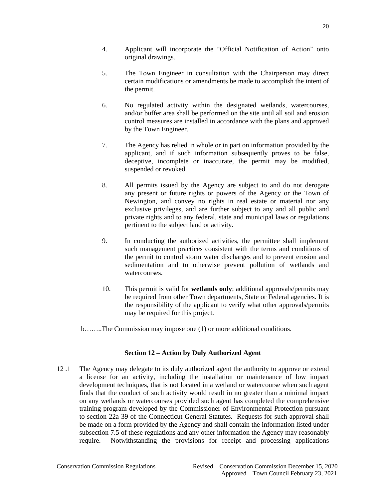- 4. Applicant will incorporate the "Official Notification of Action" onto original drawings.
- 5. The Town Engineer in consultation with the Chairperson may direct certain modifications or amendments be made to accomplish the intent of the permit.
- 6. No regulated activity within the designated wetlands, watercourses, and/or buffer area shall be performed on the site until all soil and erosion control measures are installed in accordance with the plans and approved by the Town Engineer.
- 7. The Agency has relied in whole or in part on information provided by the applicant, and if such information subsequently proves to be false, deceptive, incomplete or inaccurate, the permit may be modified, suspended or revoked.
- 8. All permits issued by the Agency are subject to and do not derogate any present or future rights or powers of the Agency or the Town of Newington, and convey no rights in real estate or material nor any exclusive privileges, and are further subject to any and all public and private rights and to any federal, state and municipal laws or regulations pertinent to the subject land or activity.
- 9. In conducting the authorized activities, the permittee shall implement such management practices consistent with the terms and conditions of the permit to control storm water discharges and to prevent erosion and sedimentation and to otherwise prevent pollution of wetlands and watercourses.
- 10. This permit is valid for **wetlands only**; additional approvals/permits may be required from other Town departments, State or Federal agencies. It is the responsibility of the applicant to verify what other approvals/permits may be required for this project.

b……..The Commission may impose one (1) or more additional conditions.

## **Section 12 – Action by Duly Authorized Agent**

12 .1 The Agency may delegate to its duly authorized agent the authority to approve or extend a license for an activity, including the installation or maintenance of low impact development techniques, that is not located in a wetland or watercourse when such agent finds that the conduct of such activity would result in no greater than a minimal impact on any wetlands or watercourses provided such agent has completed the comprehensive training program developed by the Commissioner of Environmental Protection pursuant to section 22a-39 of the Connecticut General Statutes. Requests for such approval shall be made on a form provided by the Agency and shall contain the information listed under subsection 7.5 of these regulations and any other information the Agency may reasonably require. Notwithstanding the provisions for receipt and processing applications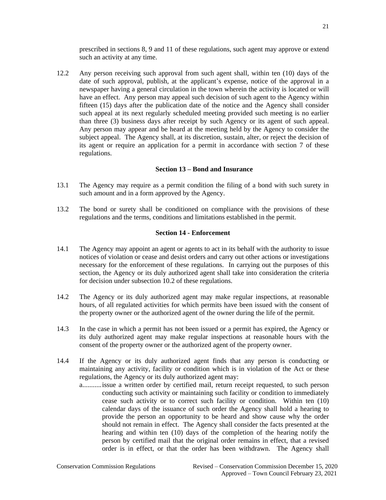prescribed in sections 8, 9 and 11 of these regulations, such agent may approve or extend such an activity at any time.

12.2 Any person receiving such approval from such agent shall, within ten (10) days of the date of such approval, publish, at the applicant's expense, notice of the approval in a newspaper having a general circulation in the town wherein the activity is located or will have an effect. Any person may appeal such decision of such agent to the Agency within fifteen (15) days after the publication date of the notice and the Agency shall consider such appeal at its next regularly scheduled meeting provided such meeting is no earlier than three (3) business days after receipt by such Agency or its agent of such appeal. Any person may appear and be heard at the meeting held by the Agency to consider the subject appeal. The Agency shall, at its discretion, sustain, alter, or reject the decision of its agent or require an application for a permit in accordance with section 7 of these regulations.

#### <span id="page-21-0"></span>**Section 13 – Bond and Insurance**

- 13.1 The Agency may require as a permit condition the filing of a bond with such surety in such amount and in a form approved by the Agency.
- 13.2 The bond or surety shall be conditioned on compliance with the provisions of these regulations and the terms, conditions and limitations established in the permit.

#### <span id="page-21-1"></span>**Section 14 - Enforcement**

- 14.1 The Agency may appoint an agent or agents to act in its behalf with the authority to issue notices of violation or cease and desist orders and carry out other actions or investigations necessary for the enforcement of these regulations. In carrying out the purposes of this section, the Agency or its duly authorized agent shall take into consideration the criteria for decision under subsection 10.2 of these regulations.
- 14.2 The Agency or its duly authorized agent may make regular inspections, at reasonable hours, of all regulated activities for which permits have been issued with the consent of the property owner or the authorized agent of the owner during the life of the permit.
- 14.3 In the case in which a permit has not been issued or a permit has expired, the Agency or its duly authorized agent may make regular inspections at reasonable hours with the consent of the property owner or the authorized agent of the property owner.
- 14.4 If the Agency or its duly authorized agent finds that any person is conducting or maintaining any activity, facility or condition which is in violation of the Act or these regulations, the Agency or its duly authorized agent may:
	- a...........issue a written order by certified mail, return receipt requested, to such person conducting such activity or maintaining such facility or condition to immediately cease such activity or to correct such facility or condition. Within ten (10) calendar days of the issuance of such order the Agency shall hold a hearing to provide the person an opportunity to be heard and show cause why the order should not remain in effect. The Agency shall consider the facts presented at the hearing and within ten (10) days of the completion of the hearing notify the person by certified mail that the original order remains in effect, that a revised order is in effect, or that the order has been withdrawn. The Agency shall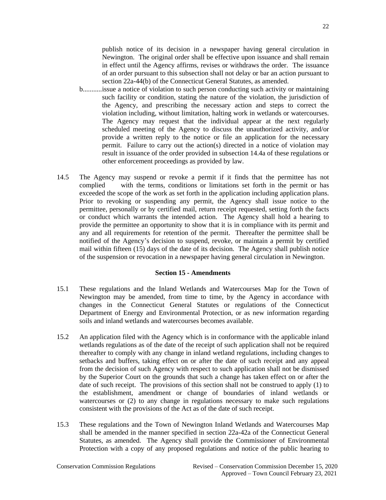publish notice of its decision in a newspaper having general circulation in Newington. The original order shall be effective upon issuance and shall remain in effect until the Agency affirms, revises or withdraws the order. The issuance of an order pursuant to this subsection shall not delay or bar an action pursuant to section 22a-44(b) of the Connecticut General Statutes, as amended.

- b...........issue a notice of violation to such person conducting such activity or maintaining such facility or condition, stating the nature of the violation, the jurisdiction of the Agency, and prescribing the necessary action and steps to correct the violation including, without limitation, halting work in wetlands or watercourses. The Agency may request that the individual appear at the next regularly scheduled meeting of the Agency to discuss the unauthorized activity, and/or provide a written reply to the notice or file an application for the necessary permit. Failure to carry out the action(s) directed in a notice of violation may result in issuance of the order provided in subsection 14.4a of these regulations or other enforcement proceedings as provided by law.
- 14.5 The Agency may suspend or revoke a permit if it finds that the permittee has not complied with the terms, conditions or limitations set forth in the permit or has exceeded the scope of the work as set forth in the application including application plans. Prior to revoking or suspending any permit, the Agency shall issue notice to the permittee, personally or by certified mail, return receipt requested, setting forth the facts or conduct which warrants the intended action. The Agency shall hold a hearing to provide the permittee an opportunity to show that it is in compliance with its permit and any and all requirements for retention of the permit. Thereafter the permittee shall be notified of the Agency's decision to suspend, revoke, or maintain a permit by certified mail within fifteen (15) days of the date of its decision. The Agency shall publish notice of the suspension or revocation in a newspaper having general circulation in Newington.

#### <span id="page-22-0"></span>**Section 15 - Amendments**

- 15.1 These regulations and the Inland Wetlands and Watercourses Map for the Town of Newington may be amended, from time to time, by the Agency in accordance with changes in the Connecticut General Statutes or regulations of the Connecticut Department of Energy and Environmental Protection, or as new information regarding soils and inland wetlands and watercourses becomes available.
- 15.2 An application filed with the Agency which is in conformance with the applicable inland wetlands regulations as of the date of the receipt of such application shall not be required thereafter to comply with any change in inland wetland regulations, including changes to setbacks and buffers, taking effect on or after the date of such receipt and any appeal from the decision of such Agency with respect to such application shall not be dismissed by the Superior Court on the grounds that such a change has taken effect on or after the date of such receipt. The provisions of this section shall not be construed to apply (1) to the establishment, amendment or change of boundaries of inland wetlands or watercourses or (2) to any change in regulations necessary to make such regulations consistent with the provisions of the Act as of the date of such receipt.
- 15.3 These regulations and the Town of Newington Inland Wetlands and Watercourses Map shall be amended in the manner specified in section 22a-42a of the Connecticut General Statutes, as amended. The Agency shall provide the Commissioner of Environmental Protection with a copy of any proposed regulations and notice of the public hearing to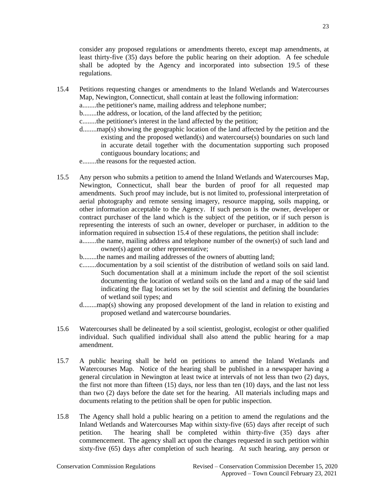consider any proposed regulations or amendments thereto, except map amendments, at least thirty-five (35) days before the public hearing on their adoption. A fee schedule shall be adopted by the Agency and incorporated into subsection 19.5 of these regulations.

23

15.4 Petitions requesting changes or amendments to the Inland Wetlands and Watercourses Map, Newington, Connecticut, shall contain at least the following information:

a........the petitioner's name, mailing address and telephone number;

b........the address, or location, of the land affected by the petition;

c........the petitioner's interest in the land affected by the petition;

d........map(s) showing the geographic location of the land affected by the petition and the existing and the proposed wetland(s) and watercourse(s) boundaries on such land in accurate detail together with the documentation supporting such proposed contiguous boundary locations; and

e........the reasons for the requested action.

15.5 Any person who submits a petition to amend the Inland Wetlands and Watercourses Map, Newington, Connecticut, shall bear the burden of proof for all requested map amendments. Such proof may include, but is not limited to, professional interpretation of aerial photography and remote sensing imagery, resource mapping, soils mapping, or other information acceptable to the Agency. If such person is the owner, developer or contract purchaser of the land which is the subject of the petition, or if such person is representing the interests of such an owner, developer or purchaser, in addition to the information required in subsection 15.4 of these regulations, the petition shall include:

a........the name, mailing address and telephone number of the owner(s) of such land and owner(s) agent or other representative;

- b........the names and mailing addresses of the owners of abutting land;
- c........documentation by a soil scientist of the distribution of wetland soils on said land. Such documentation shall at a minimum include the report of the soil scientist documenting the location of wetland soils on the land and a map of the said land indicating the flag locations set by the soil scientist and defining the boundaries of wetland soil types; and
- d........map(s) showing any proposed development of the land in relation to existing and proposed wetland and watercourse boundaries.
- 15.6 Watercourses shall be delineated by a soil scientist, geologist, ecologist or other qualified individual. Such qualified individual shall also attend the public hearing for a map amendment.
- 15.7 A public hearing shall be held on petitions to amend the Inland Wetlands and Watercourses Map. Notice of the hearing shall be published in a newspaper having a general circulation in Newington at least twice at intervals of not less than two (2) days, the first not more than fifteen (15) days, nor less than ten (10) days, and the last not less than two (2) days before the date set for the hearing. All materials including maps and documents relating to the petition shall be open for public inspection.
- 15.8 The Agency shall hold a public hearing on a petition to amend the regulations and the Inland Wetlands and Watercourses Map within sixty-five (65) days after receipt of such petition. The hearing shall be completed within thirty-five (35) days after commencement. The agency shall act upon the changes requested in such petition within sixty-five (65) days after completion of such hearing. At such hearing, any person or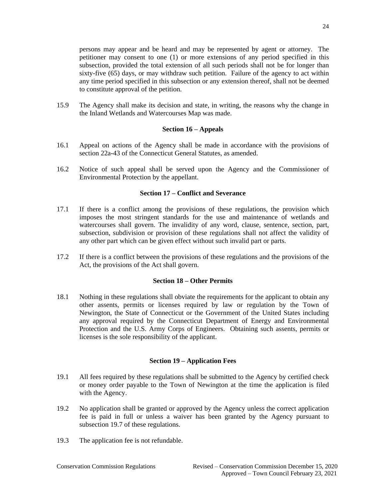persons may appear and be heard and may be represented by agent or attorney. The petitioner may consent to one (1) or more extensions of any period specified in this subsection, provided the total extension of all such periods shall not be for longer than sixty-five (65) days, or may withdraw such petition. Failure of the agency to act within any time period specified in this subsection or any extension thereof, shall not be deemed to constitute approval of the petition.

15.9 The Agency shall make its decision and state, in writing, the reasons why the change in the Inland Wetlands and Watercourses Map was made.

## <span id="page-24-0"></span>**Section 16 – Appeals**

- 16.1 Appeal on actions of the Agency shall be made in accordance with the provisions of section 22a-43 of the Connecticut General Statutes, as amended.
- 16.2 Notice of such appeal shall be served upon the Agency and the Commissioner of Environmental Protection by the appellant.

## <span id="page-24-1"></span>**Section 17 – Conflict and Severance**

- 17.1 If there is a conflict among the provisions of these regulations, the provision which imposes the most stringent standards for the use and maintenance of wetlands and watercourses shall govern. The invalidity of any word, clause, sentence, section, part, subsection, subdivision or provision of these regulations shall not affect the validity of any other part which can be given effect without such invalid part or parts.
- 17.2 If there is a conflict between the provisions of these regulations and the provisions of the Act, the provisions of the Act shall govern.

## <span id="page-24-2"></span>**Section 18 – Other Permits**

18.1 Nothing in these regulations shall obviate the requirements for the applicant to obtain any other assents, permits or licenses required by law or regulation by the Town of Newington, the State of Connecticut or the Government of the United States including any approval required by the Connecticut Department of Energy and Environmental Protection and the U.S. Army Corps of Engineers. Obtaining such assents, permits or licenses is the sole responsibility of the applicant.

## <span id="page-24-3"></span>**Section 19 – Application Fees**

- 19.1 All fees required by these regulations shall be submitted to the Agency by certified check or money order payable to the Town of Newington at the time the application is filed with the Agency.
- 19.2 No application shall be granted or approved by the Agency unless the correct application fee is paid in full or unless a waiver has been granted by the Agency pursuant to subsection 19.7 of these regulations.
- 19.3 The application fee is not refundable.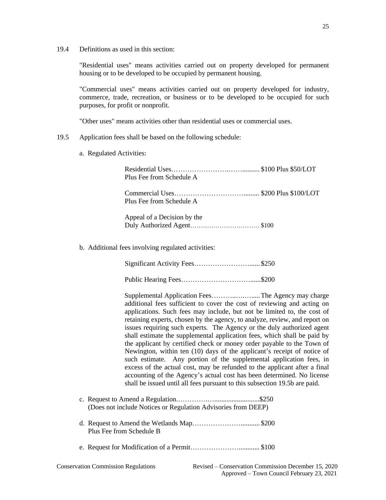19.4 Definitions as used in this section:

"Residential uses" means activities carried out on property developed for permanent housing or to be developed to be occupied by permanent housing.

"Commercial uses" means activities carried out on property developed for industry, commerce, trade, recreation, or business or to be developed to be occupied for such purposes, for profit or nonprofit.

"Other uses" means activities other than residential uses or commercial uses.

- 19.5 Application fees shall be based on the following schedule:
	- a. Regulated Activities:

| Plus Fee from Schedule A    |  |
|-----------------------------|--|
| Plus Fee from Schedule A    |  |
| Appeal of a Decision by the |  |

b. Additional fees involving regulated activities:

| Significant Activity Fees\$250 |  |
|--------------------------------|--|
|                                |  |

 Supplemental Application Fees………..….….....The Agency may charge additional fees sufficient to cover the cost of reviewing and acting on applications. Such fees may include, but not be limited to, the cost of retaining experts, chosen by the agency, to analyze, review, and report on issues requiring such experts. The Agency or the duly authorized agent shall estimate the supplemental application fees, which shall be paid by the applicant by certified check or money order payable to the Town of Newington, within ten (10) days of the applicant's receipt of notice of such estimate. Any portion of the supplemental application fees, in excess of the actual cost, may be refunded to the applicant after a final accounting of the Agency's actual cost has been determined. No license shall be issued until all fees pursuant to this subsection 19.5b are paid.

- c. Request to Amend a Regulation.………….…..........................\$250 (Does not include Notices or Regulation Advisories from DEEP)
- d. Request to Amend the Wetlands Map…………………........... \$200 Plus Fee from Schedule B
- e. Request for Modification of a Permit…………………............ \$100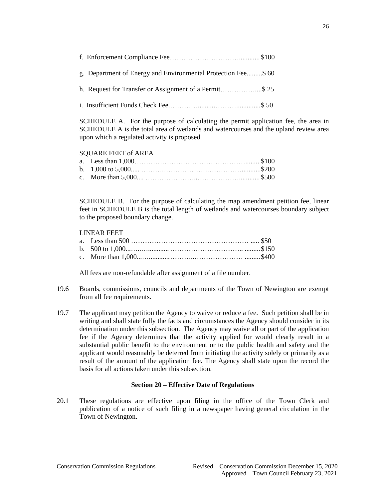| g. Department of Energy and Environmental Protection Fee\$60 |  |
|--------------------------------------------------------------|--|
| h. Request for Transfer or Assignment of a Permit\$ 25       |  |
|                                                              |  |

SCHEDULE A. For the purpose of calculating the permit application fee, the area in SCHEDULE A is the total area of wetlands and watercourses and the upland review area upon which a regulated activity is proposed.

## SQUARE FEET of AREA

SCHEDULE B. For the purpose of calculating the map amendment petition fee, linear feet in SCHEDULE B is the total length of wetlands and watercourses boundary subject to the proposed boundary change.

## LINEAR FEET

All fees are non-refundable after assignment of a file number.

- 19.6 Boards, commissions, councils and departments of the Town of Newington are exempt from all fee requirements.
- 19.7 The applicant may petition the Agency to waive or reduce a fee. Such petition shall be in writing and shall state fully the facts and circumstances the Agency should consider in its determination under this subsection. The Agency may waive all or part of the application fee if the Agency determines that the activity applied for would clearly result in a substantial public benefit to the environment or to the public health and safety and the applicant would reasonably be deterred from initiating the activity solely or primarily as a result of the amount of the application fee. The Agency shall state upon the record the basis for all actions taken under this subsection.

#### <span id="page-26-0"></span>**Section 20 – Effective Date of Regulations**

20.1 These regulations are effective upon filing in the office of the Town Clerk and publication of a notice of such filing in a newspaper having general circulation in the Town of Newington.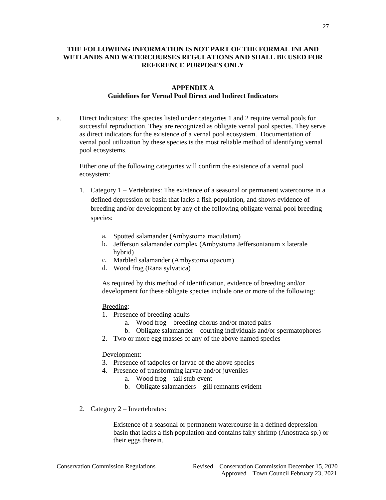## **THE FOLLOWIING INFORMATION IS NOT PART OF THE FORMAL INLAND WETLANDS AND WATERCOURSES REGULATIONS AND SHALL BE USED FOR REFERENCE PURPOSES ONLY**

## **APPENDIX A Guidelines for Vernal Pool Direct and Indirect Indicators**

a. Direct Indicators: The species listed under categories 1 and 2 require vernal pools for successful reproduction. They are recognized as obligate vernal pool species. They serve as direct indicators for the existence of a vernal pool ecosystem. Documentation of vernal pool utilization by these species is the most reliable method of identifying vernal pool ecosystems.

Either one of the following categories will confirm the existence of a vernal pool ecosystem:

- 1. Category 1 Vertebrates: The existence of a seasonal or permanent watercourse in a defined depression or basin that lacks a fish population, and shows evidence of breeding and/or development by any of the following obligate vernal pool breeding species:
	- a. Spotted salamander (Ambystoma maculatum)
	- b. Jefferson salamander complex (Ambystoma Jeffersonianum x laterale hybrid)
	- c. Marbled salamander (Ambystoma opacum)
	- d. Wood frog (Rana sylvatica)

As required by this method of identification, evidence of breeding and/or development for these obligate species include one or more of the following:

#### Breeding:

- 1. Presence of breeding adults
	- a. Wood frog breeding chorus and/or mated pairs
	- b. Obligate salamander courting individuals and/or spermatophores
- 2. Two or more egg masses of any of the above-named species

## Development:

- 3. Presence of tadpoles or larvae of the above species
- 4. Presence of transforming larvae and/or juveniles
	- a. Wood frog tail stub event
	- b. Obligate salamanders gill remnants evident
- 2. Category 2 Invertebrates:

Existence of a seasonal or permanent watercourse in a defined depression basin that lacks a fish population and contains fairy shrimp (Anostraca sp.) or their eggs therein.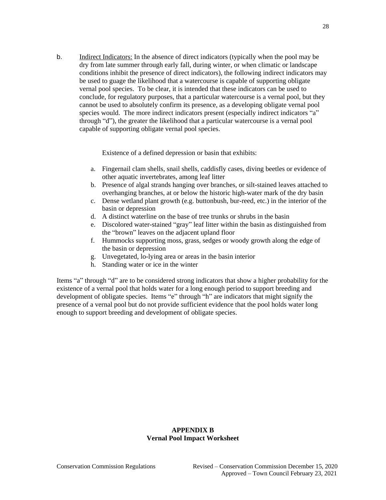b. Indirect Indicators: In the absence of direct indicators (typically when the pool may be dry from late summer through early fall, during winter, or when climatic or landscape conditions inhibit the presence of direct indicators), the following indirect indicators may be used to guage the likelihood that a watercourse is capable of supporting obligate vernal pool species. To be clear, it is intended that these indicators can be used to conclude, for regulatory purposes, that a particular watercourse is a vernal pool, but they cannot be used to absolutely confirm its presence, as a developing obligate vernal pool species would. The more indirect indicators present (especially indirect indicators "a" through "d"), the greater the likelihood that a particular watercourse is a vernal pool capable of supporting obligate vernal pool species.

Existence of a defined depression or basin that exhibits:

- a. Fingernail clam shells, snail shells, caddisfly cases, diving beetles or evidence of other aquatic invertebrates, among leaf litter
- b. Presence of algal strands hanging over branches, or silt-stained leaves attached to overhanging branches, at or below the historic high-water mark of the dry basin
- c. Dense wetland plant growth (e.g. buttonbush, bur-reed, etc.) in the interior of the basin or depression
- d. A distinct waterline on the base of tree trunks or shrubs in the basin
- e. Discolored water-stained "gray" leaf litter within the basin as distinguished from the "brown" leaves on the adjacent upland floor
- f. Hummocks supporting moss, grass, sedges or woody growth along the edge of the basin or depression
- g. Unvegetated, lo-lying area or areas in the basin interior
- h. Standing water or ice in the winter

Items "a" through "d" are to be considered strong indicators that show a higher probability for the existence of a vernal pool that holds water for a long enough period to support breeding and development of obligate species. Items "e" through "h" are indicators that might signify the presence of a vernal pool but do not provide sufficient evidence that the pool holds water long enough to support breeding and development of obligate species.

## **APPENDIX B Vernal Pool Impact Worksheet**

28